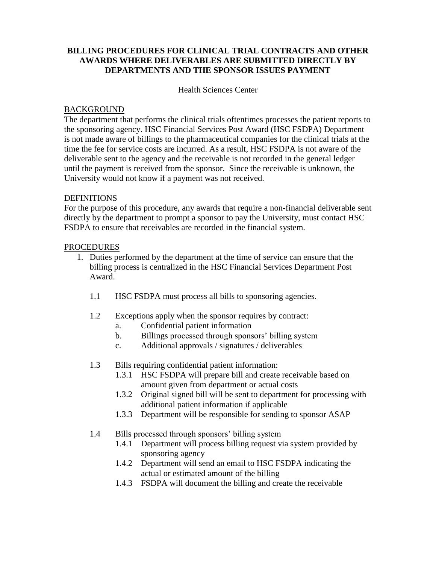## **BILLING PROCEDURES FOR CLINICAL TRIAL CONTRACTS AND OTHER AWARDS WHERE DELIVERABLES ARE SUBMITTED DIRECTLY BY DEPARTMENTS AND THE SPONSOR ISSUES PAYMENT**

Health Sciences Center

## BACKGROUND

The department that performs the clinical trials oftentimes processes the patient reports to the sponsoring agency. HSC Financial Services Post Award (HSC FSDPA) Department is not made aware of billings to the pharmaceutical companies for the clinical trials at the time the fee for service costs are incurred. As a result, HSC FSDPA is not aware of the deliverable sent to the agency and the receivable is not recorded in the general ledger until the payment is received from the sponsor. Since the receivable is unknown, the University would not know if a payment was not received.

## **DEFINITIONS**

For the purpose of this procedure, any awards that require a non-financial deliverable sent directly by the department to prompt a sponsor to pay the University, must contact HSC FSDPA to ensure that receivables are recorded in the financial system.

## PROCEDURES

- 1. Duties performed by the department at the time of service can ensure that the billing process is centralized in the HSC Financial Services Department Post Award.
	- 1.1 HSC FSDPA must process all bills to sponsoring agencies.
	- 1.2 Exceptions apply when the sponsor requires by contract:
		- a. Confidential patient information
		- b. Billings processed through sponsors' billing system
		- c. Additional approvals / signatures / deliverables
	- 1.3 Bills requiring confidential patient information:
		- 1.3.1 HSC FSDPA will prepare bill and create receivable based on amount given from department or actual costs
		- 1.3.2 Original signed bill will be sent to department for processing with additional patient information if applicable
		- 1.3.3 Department will be responsible for sending to sponsor ASAP
	- 1.4 Bills processed through sponsors' billing system
		- 1.4.1 Department will process billing request via system provided by sponsoring agency
		- 1.4.2 Department will send an email to HSC FSDPA indicating the actual or estimated amount of the billing
		- 1.4.3 FSDPA will document the billing and create the receivable